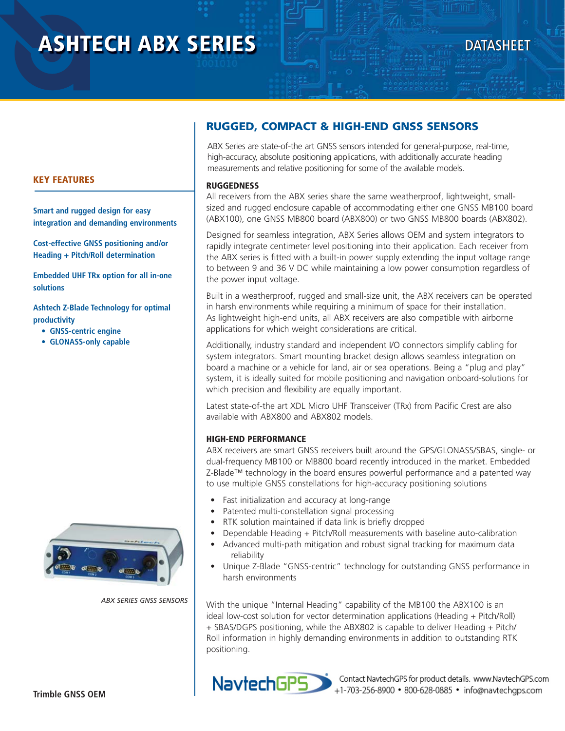# **ASHTECH ABX SERIES**

## **DATASHEET**

## **RUGGED, COMPACT & HIGH-END GNSS SENSORS**

ABX Series are state-of-the art GNSS sensors intended for general-purpose, real-time, high-accuracy, absolute positioning applications, with additionally accurate heading measurements and relative positioning for some of the available models.

#### **RUGGEDNESS**

All receivers from the ABX series share the same weatherproof, lightweight, smallsized and rugged enclosure capable of accommodating either one GNSS MB100 board (ABX100), one GNSS MB800 board (ABX800) or two GNSS MB800 boards (ABX802).

Designed for seamless integration, ABX Series allows OEM and system integrators to rapidly integrate centimeter level positioning into their application. Each receiver from the ABX series is fitted with a built-in power supply extending the input voltage range to between 9 and 36 V DC while maintaining a low power consumption regardless of the power input voltage.

Built in a weatherproof, rugged and small-size unit, the ABX receivers can be operated in harsh environments while requiring a minimum of space for their installation. As lightweight high-end units, all ABX receivers are also compatible with airborne applications for which weight considerations are critical.

Additionally, industry standard and independent I/O connectors simplify cabling for system integrators. Smart mounting bracket design allows seamless integration on board a machine or a vehicle for land, air or sea operations. Being a "plug and play" system, it is ideally suited for mobile positioning and navigation onboard-solutions for which precision and flexibility are equally important.

Latest state-of-the art XDL Micro UHF Transceiver (TRx) from Pacific Crest are also available with ABX800 and ABX802 models.

#### **HIGH-END PERFORMANCE**

ABX receivers are smart GNSS receivers built around the GPS/GLONASS/SBAS, single- or dual-frequency MB100 or MB800 board recently introduced in the market. Embedded Z-Blade™ technology in the board ensures powerful performance and a patented way to use multiple GNSS constellations for high-accuracy positioning solutions

- Fast initialization and accuracy at long-range
- Patented multi-constellation signal processing
- RTK solution maintained if data link is briefly dropped
- Dependable Heading + Pitch/Roll measurements with baseline auto-calibration
- Advanced multi-path mitigation and robust signal tracking for maximum data reliability
- Unique Z-Blade "GNSS-centric" technology for outstanding GNSS performance in harsh environments

With the unique "Internal Heading" capability of the MB100 the ABX100 is an ideal low-cost solution for vector determination applications (Heading + Pitch/Roll) + SBAS/DGPS positioning, while the ABX802 is capable to deliver Heading + Pitch/ Roll information in highly demanding environments in addition to outstanding RTK positioning.



Contact NavtechGPS for product details. www.NavtechGPS.com +1-703-256-8900 · 800-628-0885 · info@navtechgps.com

#### **KEY FEATURES**

**Smart and rugged design for easy integration and demanding environments**

**Cost-effective GNSS positioning and/or Heading + Pitch/Roll determination**

**Embedded UHF TRx option for all in-one solutions**

**Ashtech Z-Blade Technology for optimal productivity** 

- **GNSS-centric engine**
- **GLONASS-only capable**



 *ABX SERIES GNSS SENSORS*